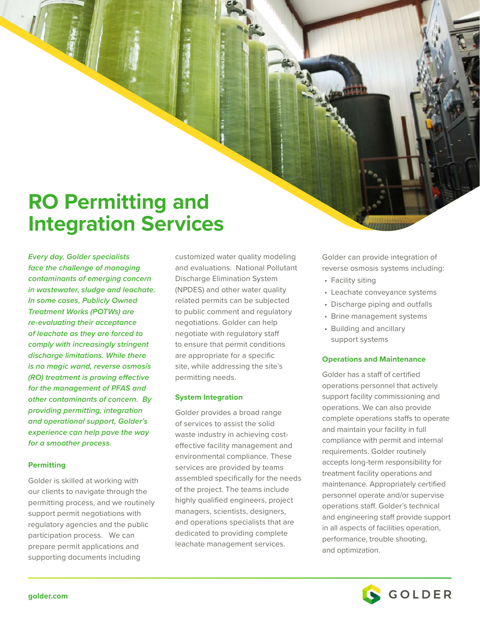# **RO Permitting and Integration Services**

*Every day, Golder specialists face the challenge of managing contaminants of emerging concern in wastewater, sludge and leachate. In some cases, Publicly Owned Treatment Works (POTWs) are re-evaluating their acceptance of leachate as they are forced to comply with increasingly stringent discharge limitations. While there is no magic wand, reverse osmosis (RO) treatment is proving effective for the management of PFAS and other contaminants of concern. By providing permitting, integration and operational support, Golder's experience can help pave the way for a smoother process.*

## **Permitting**

Golder is skilled at working with our clients to navigate through the permitting process, and we routinely support permit negotiations with regulatory agencies and the public participation process. We can prepare permit applications and supporting documents including

customized water quality modeling and evaluations. National Pollutant Discharge Elimination System (NPDES) and other water quality related permits can be subjected to public comment and regulatory negotiations. Golder can help negotiate with regulatory staff to ensure that permit conditions are appropriate for a specific site, while addressing the site's permitting needs.

## **System Integration**

Golder provides a broad range of services to assist the solid waste industry in achieving costeffective facility management and environmental compliance. These services are provided by teams assembled specifically for the needs of the project. The teams include highly qualified engineers, project managers, scientists, designers, and operations specialists that are dedicated to providing complete leachate management services.

Golder can provide integration of reverse osmosis systems including:

- Facility siting
- Leachate conveyance systems
- Discharge piping and outfalls
- Brine management systems
- Building and ancillary support systems

## **Operations and Maintenance**

Golder has a staff of certified operations personnel that actively support facility commissioning and operations. We can also provide complete operations staffs to operate and maintain your facility in full compliance with permit and internal requirements. Golder routinely accepts long-term responsibility for treatment facility operations and maintenance. Appropriately certified personnel operate and/or supervise operations staff. Golder's technical and engineering staff provide support in all aspects of facilities operation, performance, trouble shooting, and optimization.